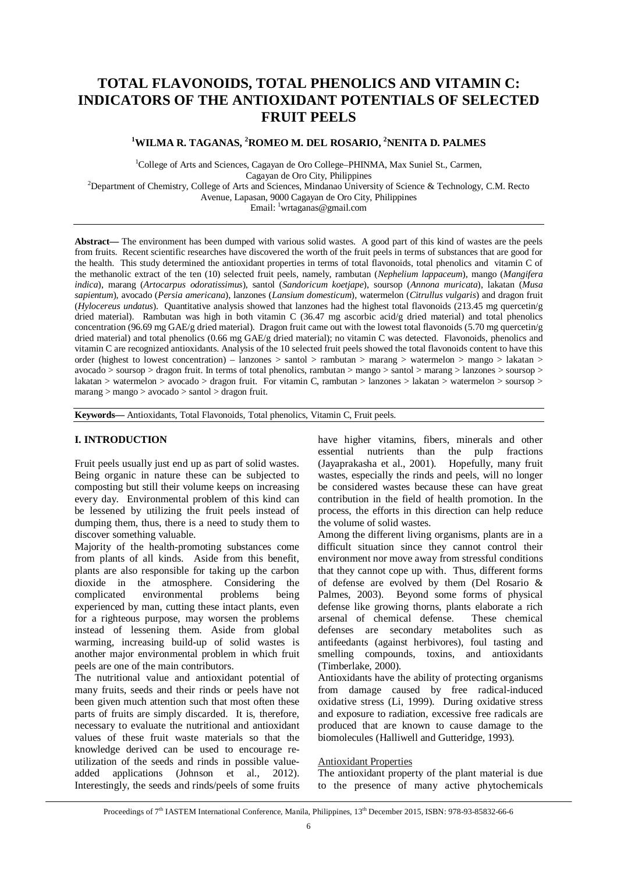# **TOTAL FLAVONOIDS, TOTAL PHENOLICS AND VITAMIN C: INDICATORS OF THE ANTIOXIDANT POTENTIALS OF SELECTED FRUIT PEELS**

# **<sup>1</sup>WILMA R. TAGANAS, <sup>2</sup>ROMEO M. DEL ROSARIO, <sup>2</sup>NENITA D. PALMES**

<sup>1</sup>College of Arts and Sciences, Cagayan de Oro College–PHINMA, Max Suniel St., Carmen, Cagayan de Oro City, Philippines <sup>2</sup>Department of Chemistry, College of Arts and Sciences, Mindanao University of Science & Technology, C.M. Recto Avenue, Lapasan, 9000 Cagayan de Oro City, Philippines Email: <sup>1</sup>[wrtaganas@gmail.com](mailto:wrtaganas@gmail.com)

**Abstract—** The environment has been dumped with various solid wastes. A good part of this kind of wastes are the peels from fruits. Recent scientific researches have discovered the worth of the fruit peels in terms of substances that are good for the health. This study determined the antioxidant properties in terms of total flavonoids, total phenolics and vitamin C of the methanolic extract of the ten (10) selected fruit peels, namely, rambutan (*Nephelium lappaceum*), mango (*Mangifera indica*), marang (*Artocarpus odoratissimus*), santol (*Sandoricum koetjape*), soursop (*Annona muricata*), lakatan (*Musa sapientum*), avocado (*Persia americana*), lanzones (*Lansium domesticum*), watermelon (*Citrullus vulgaris*) and dragon fruit (*Hylocereus undatus*). Quantitative analysis showed that lanzones had the highest total flavonoids (213.45 mg quercetin/g dried material). Rambutan was high in both vitamin C (36.47 mg ascorbic acid/g dried material) and total phenolics concentration (96.69 mg GAE/g dried material). Dragon fruit came out with the lowest total flavonoids (5.70 mg quercetin/g dried material) and total phenolics (0.66 mg GAE/g dried material); no vitamin C was detected. Flavonoids, phenolics and vitamin C are recognized antioxidants. Analysis of the 10 selected fruit peels showed the total flavonoids content to have this order (highest to lowest concentration) – lanzones  $>$  santol  $>$  rambutan  $>$  marang  $>$  watermelon  $>$  mango  $>$  lakatan  $>$  $a\overline{a}$  avocado > soursop > dragon fruit. In terms of total phenolics, rambutan > mango > santol > marang > lanzones > soursop > lakatan > watermelon > avocado > dragon fruit. For vitamin C, rambutan > lanzones > lakatan > watermelon > soursop > marang > mango > avocado > santol > dragon fruit.

**Keywords—** Antioxidants, Total Flavonoids, Total phenolics, Vitamin C, Fruit peels.

## **I. INTRODUCTION**

Fruit peels usually just end up as part of solid wastes. Being organic in nature these can be subjected to composting but still their volume keeps on increasing every day. Environmental problem of this kind can be lessened by utilizing the fruit peels instead of dumping them, thus, there is a need to study them to discover something valuable.

Majority of the health-promoting substances come from plants of all kinds. Aside from this benefit, plants are also responsible for taking up the carbon dioxide in the atmosphere. Considering the complicated environmental problems being environmental problems being experienced by man, cutting these intact plants, even for a righteous purpose, may worsen the problems instead of lessening them. Aside from global warming, increasing build-up of solid wastes is another major environmental problem in which fruit peels are one of the main contributors.

The nutritional value and antioxidant potential of many fruits, seeds and their rinds or peels have not been given much attention such that most often these parts of fruits are simply discarded. It is, therefore, necessary to evaluate the nutritional and antioxidant values of these fruit waste materials so that the knowledge derived can be used to encourage reutilization of the seeds and rinds in possible valueadded applications (Johnson et al., 2012). Interestingly, the seeds and rinds/peels of some fruits

have higher vitamins, fibers, minerals and other essential nutrients than the pulp fractions (Jayaprakasha et al., 2001). Hopefully, many fruit wastes, especially the rinds and peels, will no longer be considered wastes because these can have great contribution in the field of health promotion. In the process, the efforts in this direction can help reduce the volume of solid wastes.

Among the different living organisms, plants are in a difficult situation since they cannot control their environment nor move away from stressful conditions that they cannot cope up with. Thus, different forms of defense are evolved by them (Del Rosario & Palmes, 2003). Beyond some forms of physical defense like growing thorns, plants elaborate a rich arsenal of chemical defense. These chemical arsenal of chemical defense. defenses are secondary metabolites such as antifeedants (against herbivores), foul tasting and smelling compounds, toxins, and antioxidants (Timberlake, 2000).

Antioxidants have the ability of protecting organisms from damage caused by free radical-induced oxidative stress (Li, 1999). During oxidative stress and exposure to radiation, excessive free radicals are produced that are known to cause damage to the biomolecules (Halliwell and Gutteridge, 1993).

#### Antioxidant Properties

The antioxidant property of the plant material is due to the presence of many active phytochemicals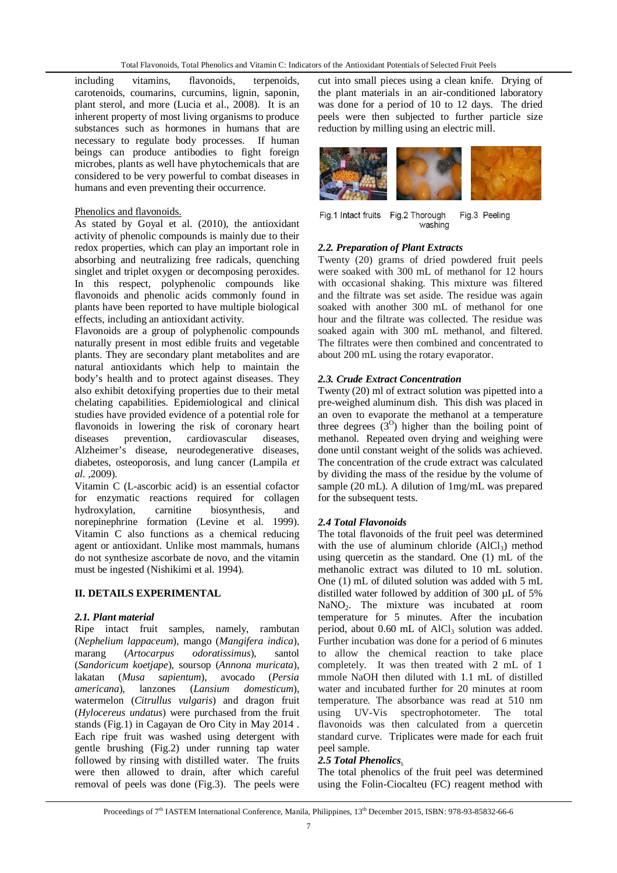including vitamins, flavonoids, terpenoids, carotenoids, coumarins, curcumins, lignin, saponin, plant sterol, and more (Lucia et al., 2008). It is an inherent property of most living organisms to produce substances such as hormones in humans that are necessary to regulate body processes. If human beings can produce antibodies to fight foreign microbes, plants as well have phytochemicals that are considered to be very powerful to combat diseases in humans and even preventing their occurrence.

### Phenolics and flavonoids.

As stated by Goyal et al. (2010), the antioxidant activity of phenolic compounds is mainly due to their redox properties, which can play an important role in absorbing and neutralizing free radicals, quenching singlet and triplet oxygen or decomposing peroxides. In this respect, polyphenolic compounds like flavonoids and phenolic acids commonly found in plants have been reported to have multiple biological effects, including an antioxidant activity.

Flavonoids are a group of polyphenolic compounds naturally present in most edible fruits and vegetable plants. They are secondary plant metabolites and are natural antioxidants which help to maintain the body's health and to protect against diseases. They also exhibit detoxifying properties due to their metal chelating capabilities. Epidemiological and clinical studies have provided evidence of a potential role for flavonoids in lowering the risk of coronary heart diseases prevention, cardiovascular diseases, Alzheimer's disease, neurodegenerative diseases, diabetes, osteoporosis, and lung cancer (Lampila *et al. ,*2009).

Vitamin C (L-ascorbic acid) is an essential cofactor for enzymatic reactions required for collagen hydroxylation, carnitine biosynthesis, and norepinephrine formation (Levine et al. 1999). Vitamin C also functions as a chemical reducing agent or antioxidant. Unlike most mammals, humans do not synthesize ascorbate de novo, and the vitamin must be ingested (Nishikimi et al. 1994).

### **II. DETAILS EXPERIMENTAL**

### *2.1. Plant material*

Ripe intact fruit samples, namely, rambutan (*Nephelium lappaceum*), mango (*Mangifera indica*), marang (*Artocarpus odoratissimus*), santol (*Sandoricum koetjape*), soursop (*Annona muricata*), lakatan (*Musa sapientum*), *americana*), lanzones (*Lansium domesticum*), watermelon (*Citrullus vulgaris*) and dragon fruit (*Hylocereus undatus*) were purchased from the fruit stands (Fig.1) in Cagayan de Oro City in May 2014 . Each ripe fruit was washed using detergent with gentle brushing (Fig.2) under running tap water followed by rinsing with distilled water. The fruits were then allowed to drain, after which careful removal of peels was done (Fig.3). The peels were

cut into small pieces using a clean knife. Drying of the plant materials in an air-conditioned laboratory was done for a period of 10 to 12 days. The dried peels were then subjected to further particle size reduction by milling using an electric mill.



Fig.1 Intact fruits Fig.2 Thorough Fig.3 Peeling washing

## *2.2. Preparation of Plant Extracts*

Twenty (20) grams of dried powdered fruit peels were soaked with 300 mL of methanol for 12 hours with occasional shaking. This mixture was filtered and the filtrate was set aside. The residue was again soaked with another 300 mL of methanol for one hour and the filtrate was collected. The residue was soaked again with 300 mL methanol, and filtered. The filtrates were then combined and concentrated to about 200 mL using the rotary evaporator.

## *2.3. Crude Extract Concentration*

Twenty (20) ml of extract solution was pipetted into a pre-weighed aluminum dish. This dish was placed in an oven to evaporate the methanol at a temperature three degrees  $(3^0)$  higher than the boiling point of methanol. Repeated oven drying and weighing were done until constant weight of the solids was achieved. The concentration of the crude extract was calculated by dividing the mass of the residue by the volume of sample (20 mL). A dilution of 1mg/mL was prepared for the subsequent tests.

# *2.4 Total Flavonoids*

The total flavonoids of the fruit peel was determined with the use of aluminum chloride  $(AlCl<sub>3</sub>)$  method using quercetin as the standard. One (1) mL of the methanolic extract was diluted to 10 mL solution. One (1) mL of diluted solution was added with 5 mL distilled water followed by addition of 300 µL of 5% NaNO2. The mixture was incubated at room temperature for 5 minutes. After the incubation period, about  $0.60$  mL of AlCl<sub>3</sub> solution was added. Further incubation was done for a period of 6 minutes to allow the chemical reaction to take place completely. It was then treated with 2 mL of 1 mmole NaOH then diluted with 1.1 mL of distilled water and incubated further for 20 minutes at room temperature. The absorbance was read at 510 nm using UV-Vis spectrophotometer. The total flavonoids was then calculated from a quercetin standard curve. Triplicates were made for each fruit peel sample.

### *2.5 Total Phenolics.*

The total phenolics of the fruit peel was determined using the Folin-Ciocalteu (FC) reagent method with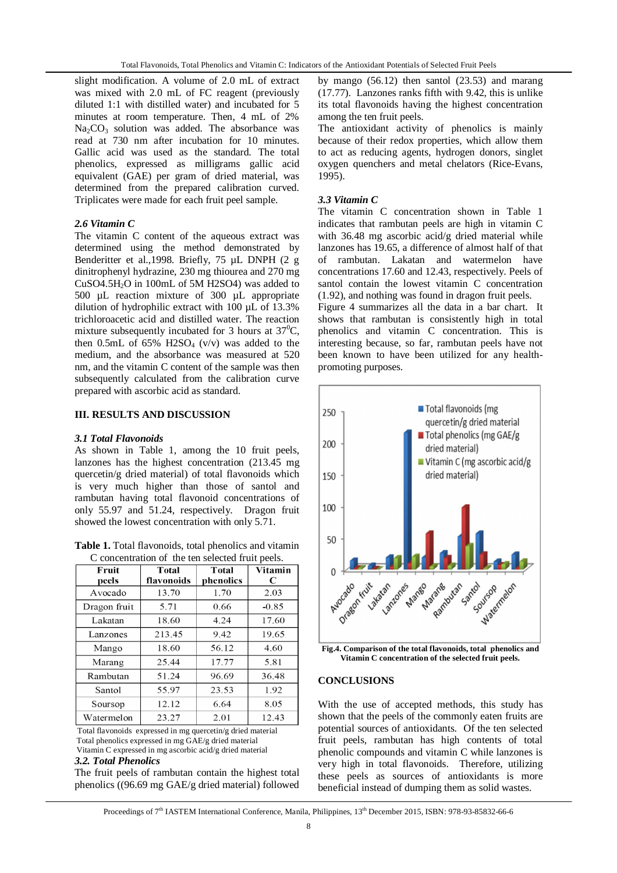slight modification. A volume of 2.0 mL of extract was mixed with 2.0 mL of FC reagent (previously diluted 1:1 with distilled water) and incubated for 5 minutes at room temperature. Then, 4 mL of 2% Na<sub>2</sub>CO<sub>3</sub> solution was added. The absorbance was read at 730 nm after incubation for 10 minutes. Gallic acid was used as the standard. The total phenolics, expressed as milligrams gallic acid equivalent (GAE) per gram of dried material, was determined from the prepared calibration curved. Triplicates were made for each fruit peel sample.

## *2.6 Vitamin C*

The vitamin C content of the aqueous extract was determined using the method demonstrated by Benderitter et al.,1998. Briefly, 75 µL DNPH (2 g dinitrophenyl hydrazine, 230 mg thiourea and 270 mg CuSO4.5H2O in 100mL of 5M H2SO4) was added to 500 µL reaction mixture of 300 µL appropriate dilution of hydrophilic extract with 100 µL of 13.3% trichloroacetic acid and distilled water. The reaction mixture subsequently incubated for 3 hours at  $37^0C$ , then 0.5mL of 65%  $H2SO<sub>4</sub>$  (v/v) was added to the medium, and the absorbance was measured at 520 nm, and the vitamin C content of the sample was then subsequently calculated from the calibration curve prepared with ascorbic acid as standard.

### **III. RESULTS AND DISCUSSION**

### *3.1 Total Flavonoids*

As shown in Table 1, among the 10 fruit peels, lanzones has the highest concentration (213.45 mg quercetin/g dried material) of total flavonoids which is very much higher than those of santol and rambutan having total flavonoid concentrations of only 55.97 and 51.24, respectively. Dragon fruit showed the lowest concentration with only 5.71.

**Table 1.** Total flavonoids, total phenolics and vitamin C concentration of the ten selected fruit peels.

| Fruit<br>peels | <b>Total</b><br>flavonoids | <b>Total</b><br>phenolics | Vitamin<br>C |
|----------------|----------------------------|---------------------------|--------------|
| Avocado        | 13.70                      | 1.70                      | 2.03         |
| Dragon fruit   | 5.71                       | 0.66                      | $-0.85$      |
| Lakatan        | 18.60                      | 4.24                      | 17.60        |
| Lanzones       | 213.45                     | 9.42                      | 19.65        |
| Mango          | 18.60                      | 56.12                     | 4.60         |
| Marang         | 25.44                      | 17.77                     | 5.81         |
| Rambutan       | 51.24                      | 96.69                     | 36.48        |
| Santol         | 55.97                      | 23.53                     | 1.92         |
| Soursop        | 12.12                      | 6.64                      | 8.05         |
| Watermelon     | 23.27                      | 2.01                      | 12.43        |

Total flavonoids expressed in mg quercetin/g dried material Total phenolics expressed in mg GAE/g dried material Vitamin C expressed in mg ascorbic acid/g dried material

#### *3.2. Total Phenolics*

The fruit peels of rambutan contain the highest total phenolics ((96.69 mg GAE/g dried material) followed

by mango (56.12) then santol (23.53) and marang (17.77). Lanzones ranks fifth with 9.42, this is unlike its total flavonoids having the highest concentration among the ten fruit peels.

The antioxidant activity of phenolics is mainly because of their redox properties, which allow them to act as reducing agents, hydrogen donors, singlet oxygen quenchers and metal chelators (Rice-Evans, 1995).

## *3.3 Vitamin C*

The vitamin C concentration shown in Table 1 indicates that rambutan peels are high in vitamin C with 36.48 mg ascorbic acid/g dried material while lanzones has 19.65, a difference of almost half of that of rambutan. Lakatan and watermelon have concentrations 17.60 and 12.43, respectively. Peels of santol contain the lowest vitamin C concentration (1.92), and nothing was found in dragon fruit peels.

Figure 4 summarizes all the data in a bar chart. It shows that rambutan is consistently high in total phenolics and vitamin C concentration. This is interesting because, so far, rambutan peels have not been known to have been utilized for any healthpromoting purposes.



**Fig.4. Comparison of the total flavonoids, total phenolics and Vitamin C concentration of the selected fruit peels.**

### **CONCLUSIONS**

With the use of accepted methods, this study has shown that the peels of the commonly eaten fruits are potential sources of antioxidants. Of the ten selected fruit peels, rambutan has high contents of total phenolic compounds and vitamin C while lanzones is very high in total flavonoids. Therefore, utilizing these peels as sources of antioxidants is more beneficial instead of dumping them as solid wastes.

Proceedings of 7<sup>th</sup> IASTEM International Conference, Manila, Philippines, 13<sup>th</sup> December 2015, ISBN: 978-93-85832-66-6